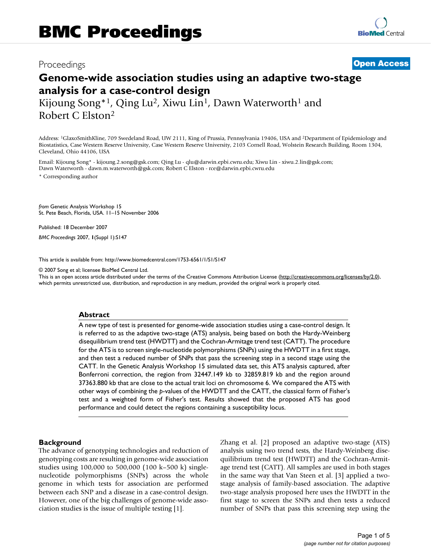# Proceedings **[Open Access](http://www.biomedcentral.com/info/about/charter/)**

# **Genome-wide association studies using an adaptive two-stage analysis for a case-control design**

Kijoung Song<sup>\*1</sup>, Qing Lu<sup>2</sup>, Xiwu Lin<sup>1</sup>, Dawn Waterworth<sup>1</sup> and Robert C Elston2

Address: 1GlaxoSmithKline, 709 Swedeland Road, UW 2111, King of Prussia, Pennsylvania 19406, USA and 2Department of Epidemiology and Biostatistics, Case Western Reserve University, Case Western Reserve University, 2103 Cornell Road, Wolstein Research Building, Room 1304, Cleveland, Ohio 44106, USA

Email: Kijoung Song\* - kijoung.2.song@gsk.com; Qing Lu - qlu@darwin.epbi.cwru.edu; Xiwu Lin - xiwu.2.lin@gsk.com; Dawn Waterworth - dawn.m.waterworth@gsk.com; Robert C Elston - rce@darwin.epbi.cwru.edu

\* Corresponding author

*from* Genetic Analysis Workshop 15 St. Pete Beach, Florida, USA. 11–15 November 2006

Published: 18 December 2007

*BMC Proceedings* 2007, **1**(Suppl 1):S147

[This article is available from: http://www.biomedcentral.com/1753-6561/1/S1/S147](http://www.biomedcentral.com/1753-6561/1/S1/S147)

© 2007 Song et al; licensee BioMed Central Ltd.

This is an open access article distributed under the terms of the Creative Commons Attribution License [\(http://creativecommons.org/licenses/by/2.0\)](http://creativecommons.org/licenses/by/2.0), which permits unrestricted use, distribution, and reproduction in any medium, provided the original work is properly cited.

#### **Abstract**

A new type of test is presented for genome-wide association studies using a case-control design. It is referred to as the adaptive two-stage (ATS) analysis, being based on both the Hardy-Weinberg disequilibrium trend test (HWDTT) and the Cochran-Armitage trend test (CATT). The procedure for the ATS is to screen single-nucleotide polymorphisms (SNPs) using the HWDTT in a first stage, and then test a reduced number of SNPs that pass the screening step in a second stage using the CATT. In the Genetic Analysis Workshop 15 simulated data set, this ATS analysis captured, after Bonferroni correction, the region from 32447.149 kb to 32859.819 kb and the region around 37363.880 kb that are close to the actual trait loci on chromosome 6. We compared the ATS with other ways of combining the *p*-values of the HWDTT and the CATT, the classical form of Fisher's test and a weighted form of Fisher's test. Results showed that the proposed ATS has good performance and could detect the regions containing a susceptibility locus.

#### **Background**

The advance of genotyping technologies and reduction of genotyping costs are resulting in genome-wide association studies using 100,000 to 500,000 (100 k–500 k) singlenucleotide polymorphisms (SNPs) across the whole genome in which tests for association are performed between each SNP and a disease in a case-control design. However, one of the big challenges of genome-wide association studies is the issue of multiple testing [1].

Zhang et al. [2] proposed an adaptive two-stage (ATS) analysis using two trend tests, the Hardy-Weinberg disequilibrium trend test (HWDTT) and the Cochran-Armitage trend test (CATT). All samples are used in both stages in the same way that Van Steen et al. [3] applied a twostage analysis of family-based association. The adaptive two-stage analysis proposed here uses the HWDTT in the first stage to screen the SNPs and then tests a reduced number of SNPs that pass this screening step using the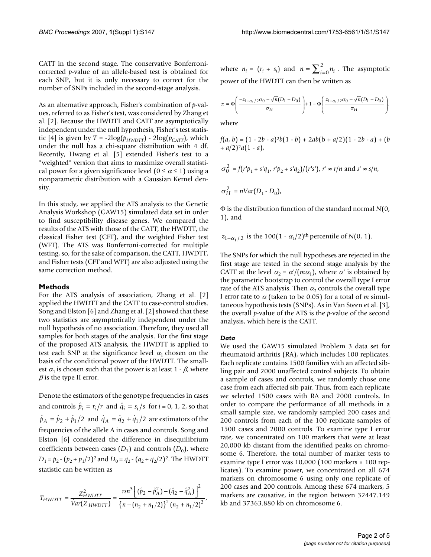CATT in the second stage. The conservative Bonferronicorrected *p*-value of an allele-based test is obtained for each SNP, but it is only necessary to correct for the number of SNPs included in the second-stage analysis.

As an alternative approach, Fisher's combination of *p*-values, referred to as Fisher's test, was considered by Zhang et al. [2]. Because the HWDTT and CATT are asymptotically independent under the null hypothesis, Fisher's test statistic [4] is given by  $T = -2\log(p_{HWDTT}) - 2\log(p_{CATT})$ , which under the null has a chi-square distribution with 4 df. Recently, Hwang et al. [5] extended Fisher's test to a "weighted" version that aims to maximize overall statistical power for a given significance level  $(0 \le \alpha \le 1)$  using a nonparametric distribution with a Gaussian Kernel density.

In this study, we applied the ATS analysis to the Genetic Analysis Workshop (GAW15) simulated data set in order to find susceptibility disease genes. We compared the results of the ATS with those of the CATT, the HWDTT, the classical Fisher test (CFT), and the weighted Fisher test (WFT). The ATS was Bonferroni-corrected for multiple testing, so, for the sake of comparison, the CATT, HWDTT, and Fisher tests (CFT and WFT) are also adjusted using the same correction method.

#### **Methods**

For the ATS analysis of association, Zhang et al. [2] applied the HWDTT and the CATT to case-control studies. Song and Elston [6] and Zhang et al. [2] showed that these two statistics are asymptotically independent under the null hypothesis of no association. Therefore, they used all samples for both stages of the analysis. For the first stage of the proposed ATS analysis, the HWDTT is applied to test each SNP at the significance level  $\alpha_1$  chosen on the basis of the conditional power of the HWDTT. The smallest  $\alpha_1$  is chosen such that the power is at least 1 -  $\beta$ , where  $\beta$  is the type II error.

Denote the estimators of the genotype frequencies in cases and controls  $\hat{p}_i = r_i/r$  and  $\hat{q}_i = s_i/s$  for  $i = 0, 1, 2$ , so that  $\hat{p}_A = \hat{p}_2 + \hat{p}_1/2$  and  $\hat{q}_A = \hat{q}_2 + \hat{q}_1/2$  are estimators of the frequencies of the allele A in cases and controls. Song and Elston [6] considered the difference in disequilibrium coefficients between cases  $(D_1)$  and controls  $(D_0)$ , where *D*<sub>1</sub> = *p*<sub>2</sub> - (*p*<sub>2</sub> + *p*<sub>1</sub>/2)<sup>2</sup> and *D*<sub>0</sub> = *q*<sub>2</sub> - (*q*<sub>2</sub> + *q*<sub>2</sub>/2)<sup>2</sup>. The HWDTT statistic can be written as

$$
T_{HWDTT} = \frac{Z_{HWDTT}^2}{\hat{V}ar(Z_{HWDTT})} = \frac{rsn^3 \left[ (\hat{p}_2 - \hat{p}_A^2) - (\hat{q}_2 - \hat{q}_A^2) \right]^2}{\left\{ n - (n_2 + n_1/2) \right\}^2 (n_2 + n_1/2)^2},
$$

where  $n_i = (r_i + s_i)$  and  $n = \sum_{i=0}^{n} n_i$ . The asymptotic power of the HWDTT can then be written as

$$
\pi = \Phi\left(\frac{-z_{1-\alpha_1/2}\sigma_0 - \sqrt{n}(D_1 - D_0)}{\sigma_H}\right) + 1 - \Phi\left(\frac{z_{1-\alpha_1/2}\sigma_0 - \sqrt{n}(D_1 - D_0)}{\sigma_H}\right),
$$

where

$$
f(a, b) = (1 - 2b - a)^{2}b(1 - b) + 2ab(b + a/2)(1 - 2b - a) + (b + a/2)^{2}a(1 - a),
$$

$$
\sigma_0^2 = f(r'p_1 + s'q_1, r'p_2 + s'q_2)/(r's'), r' \approx r/n \text{ and } s' \approx s/n,
$$
  

$$
\sigma_H^2 = nVar(D_1 - D_0),
$$

Φ is the distribution function of the standard normal *N*(0, 1), and

$$
z_{1-\alpha_1/2}
$$
 is the 100(1 -  $\alpha_1/2$ )<sup>th</sup> percentile of N(0, 1).

The SNPs for which the null hypotheses are rejected in the first stage are tested in the second stage analysis by the CATT at the level  $\alpha_2 = \alpha/(m\alpha_1)$ , where  $\alpha'$  is obtained by the parametric bootstrap to control the overall type I error rate of the ATS analysis. Then  $\alpha_2$  controls the overall type I error rate to <sup>α</sup> (taken to be 0.05) for a total of *m* simultaneous hypothesis tests (SNPs). As in Van Steen et al. [3], the overall *p*-value of the ATS is the *p*-value of the second analysis, which here is the CATT.

#### *Data*

We used the GAW15 simulated Problem 3 data set for rheumatoid arthritis (RA), which includes 100 replicates. Each replicate contains 1500 families with an affected sibling pair and 2000 unaffected control subjects. To obtain a sample of cases and controls, we randomly chose one case from each affected sib pair. Thus, from each replicate we selected 1500 cases with RA and 2000 controls. In order to compare the performance of all methods in a small sample size, we randomly sampled 200 cases and 200 controls from each of the 100 replicate samples of 1500 cases and 2000 controls. To examine type I error rate, we concentrated on 100 markers that were at least 20,000 kb distant from the identified peaks on chromosome 6. Therefore, the total number of marker tests to examine type I error was 10,000 (100 markers × 100 replicates). To examine power, we concentrated on all 674 markers on chromosome 6 using only one replicate of 200 cases and 200 controls. Among these 674 markers, 5 markers are causative, in the region between 32447.149 kb and 37363.880 kb on chromosome 6.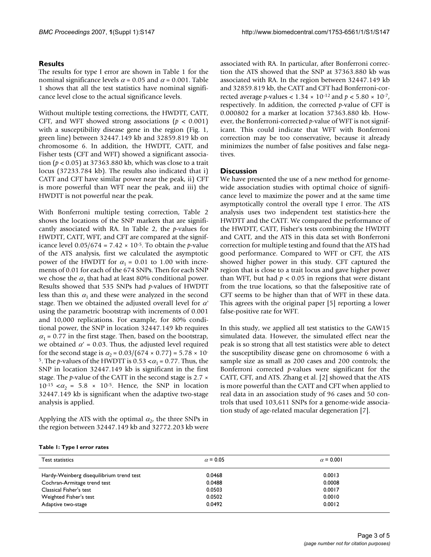## **Results**

The results for type I error are shown in Table 1 for the nominal significance levels  $\alpha$  = 0.05 and  $\alpha$  = 0.001. Table 1 shows that all the test statistics have nominal significance level close to the actual significance levels.

Without multiple testing corrections, the HWDTT, CATT, CFT, and WFT showed strong associations  $(p < 0.001)$ with a susceptibility disease gene in the region (Fig. 1, green line) between 32447.149 kb and 32859.819 kb on chromosome 6. In addition, the HWDTT, CATT, and Fisher tests (CFT and WFT) showed a significant association (*p* < 0.05) at 37363.880 kb, which was close to a trait locus (37233.784 kb). The results also indicated that i) CATT and CFT have similar power near the peak, ii) CFT is more powerful than WFT near the peak, and iii) the HWDTT is not powerful near the peak.

With Bonferroni multiple testing correction, Table 2 shows the locations of the SNP markers that are significantly associated with RA. In Table 2, the *p*-values for HWDTT, CATT, WFT, and CFT are compared at the significance level  $0.05/674 = 7.42 \times 10^{-5}$ . To obtain the *p*-value of the ATS analysis, first we calculated the asymptotic power of the HWDTT for  $\alpha_1 = 0.01$  to 1.00 with increments of 0.01 for each of the 674 SNPs. Then for each SNP we chose the  $\alpha_1$  that had at least 80% conditional power. Results showed that 535 SNPs had *p*-values of HWDTT less than this  $\alpha_1$  and these were analyzed in the second stage. Then we obtained the adjusted overall level for α*'* using the parametric bootstrap with increments of 0.001 and 10,000 replications. For example, for 80% conditional power, the SNP in location 32447.149 kb requires  $\alpha_1$  = 0.77 in the first stage. Then, based on the bootstrap, we obtained  $\alpha' = 0.03$ . Thus, the adjusted level required for the second stage is  $\alpha_2 = 0.03/(674 \times 0.77) = 5.78 \times 10^{-7}$ <sup>5</sup>. The *p*-values of the HWDTT is 0.53  $<\alpha_1$  = 0.77. Thus, the SNP in location 32447.149 kb is significant in the first stage. The *p*-value of the CATT in the second stage is 2.7  $\times$  $10^{-15} < \alpha_2 = 5.8 \times 10^{-5}$ . Hence, the SNP in location 32447.149 kb is significant when the adaptive two-stage analysis is applied.

Applying the ATS with the optimal  $\alpha_2$ , the three SNPs in the region between 32447.149 kb and 32772.203 kb were

associated with RA. In particular, after Bonferroni correction the ATS showed that the SNP at 37363.880 kb was associated with RA. In the region between 32447.149 kb and 32859.819 kb, the CATT and CFT had Bonferroni-corrected average *p*-values < 1.34 × 10-12 and *p* < 5.80 × 10-7, respectively. In addition, the corrected *p*-value of CFT is 0.000802 for a marker at location 37363.880 kb. However, the Bonferroni-corrected *p*-value of WFT is not significant. This could indicate that WFT with Bonferroni correction may be too conservative, because it already minimizes the number of false positives and false negatives.

### **Discussion**

We have presented the use of a new method for genomewide association studies with optimal choice of significance level to maximize the power and at the same time asymptotically control the overall type I error. The ATS analysis uses two independent test statistics-here the HWDTT and the CATT. We compared the performance of the HWDTT, CATT, Fisher's tests combining the HWDTT and CATT, and the ATS in this data set with Bonferroni correction for multiple testing and found that the ATS had good performance. Compared to WFT or CFT, the ATS showed higher power in this study. CFT captured the region that is close to a trait locus and gave higher power than WFT, but had  $p < 0.05$  in regions that were distant from the true locations, so that the falsepositive rate of CFT seems to be higher than that of WFT in these data. This agrees with the original paper [5] reporting a lower false-positive rate for WFT.

In this study, we applied all test statistics to the GAW15 simulated data. However, the simulated effect near the peak is so strong that all test statistics were able to detect the susceptibility disease gene on chromosome 6 with a sample size as small as 200 cases and 200 controls; the Bonferroni corrected *p*-values were significant for the CATT, CFT, and ATS. Zhang et al. [2] showed that the ATS is more powerful than the CATT and CFT when applied to real data in an association study of 96 cases and 50 controls that used 103,611 SNPs for a genome-wide association study of age-related macular degeneration [7].

#### **Table 1: Type I error rates**

| Test statistics                          | $\alpha$ = 0.05 | $\alpha$ = 0.001 |
|------------------------------------------|-----------------|------------------|
| Hardy-Weinberg disequilibrium trend test | 0.0468          | 0.0013           |
| Cochran-Armitage trend test              | 0.0488          | 0.0008           |
| Classical Fisher's test                  | 0.0503          | 0.0017           |
| Weighted Fisher's test                   | 0.0502          | 0.0010           |
| Adaptive two-stage                       | 0.0492          | 0.0012           |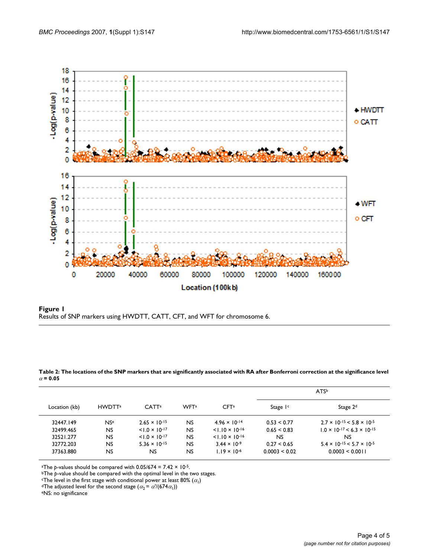

**Figure 1** Results of SNP markers using HWDTT, CATT, CFT, and WFT for chromosome 6.

| Location (kb) |                    | CATT <sup>a</sup>       | WF <sub>T</sub> <sup>a</sup> | CFT <sup>a</sup>         | ATS <sup>b</sup>     |                                             |
|---------------|--------------------|-------------------------|------------------------------|--------------------------|----------------------|---------------------------------------------|
|               | HWDTT <sup>a</sup> |                         |                              |                          | Stage I <sup>c</sup> | Stage $2d$                                  |
| 32447.149     | $N$ Se             | $2.65 \times 10^{-15}$  | NS.                          | $4.96 \times 10^{-14}$   | 0.53 < 0.77          | $2.7 \times 10^{-15} < 5.8 \times 10^{-5}$  |
| 32499.465     | <b>NS</b>          | $< 1.0 \times 10^{-17}$ | NS.                          | $< 1.10 \times 10^{-16}$ | $0.65 \le 0.83$      | $1.0 \times 10^{-17} < 6.3 \times 10^{-15}$ |
| 32521.277     | NS.                | $< 1.0 \times 10^{-17}$ | NS.                          | $< 1.10 \times 10^{-16}$ | NS.                  | NS                                          |
| 32772.203     | NS.                | $5.36 \times 10^{-15}$  | NS.                          | $3.44 \times 10^{-9}$    | 0.27 < 0.65          | $5.4 \times 10^{-15} < 5.7 \times 10^{-5}$  |
| 37363.880     | NS.                | NS.                     | NS.                          | $1.19 \times 10^{-6}$    | 0.0003 < 0.02        | 0.0003 < 0.0011                             |

**Table 2: The locations of the SNP markers that are significantly associated with RA after Bonferroni correction at the significance level**   $\alpha$  = 0.05

<sup>a</sup>The *p*-values should be compared with  $0.05/674 = 7.42 \times 10^{-5}$ .

<sup>b</sup>The *p*-value should be compared with the optimal level in the two stages.<br>
<sup>c</sup>The level in the first stage with conditional power at least 80% ( $\alpha_1$ )

<sup>d</sup>The adjusted level for the second stage  $(\alpha_2 = \alpha'/(674\alpha_1))$ <br>eNS: no significance